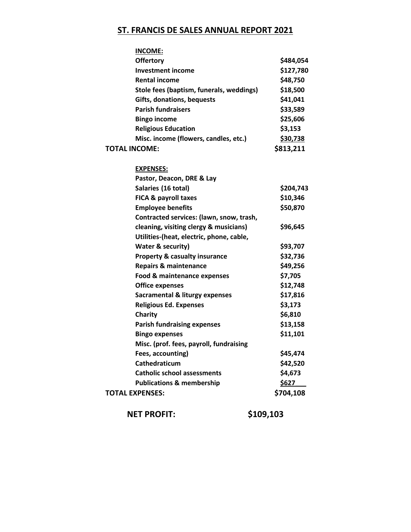## **ST. FRANCIS DE SALES ANNUAL REPORT 2021**

| <b>INCOME:</b>                            |           |
|-------------------------------------------|-----------|
| <b>Offertory</b>                          | \$484,054 |
| <b>Investment income</b>                  | \$127,780 |
| <b>Rental income</b>                      | \$48,750  |
| Stole fees (baptism, funerals, weddings)  | \$18,500  |
| <b>Gifts, donations, bequests</b>         | \$41,041  |
| <b>Parish fundraisers</b>                 | \$33,589  |
| <b>Bingo income</b>                       | \$25,606  |
| <b>Religious Education</b>                | \$3,153   |
| Misc. income (flowers, candles, etc.)     | \$30,738  |
| <b>TOTAL INCOME:</b>                      | \$813,211 |
|                                           |           |
| <b>EXPENSES:</b>                          |           |
| Pastor, Deacon, DRE & Lay                 |           |
| Salaries (16 total)                       | \$204,743 |
| FICA & payroll taxes                      | \$10,346  |
| <b>Employee benefits</b>                  | \$50,870  |
| Contracted services: (lawn, snow, trash,  |           |
| cleaning, visiting clergy & musicians)    | \$96,645  |
| Utilities-(heat, electric, phone, cable,  |           |
| Water & security)                         | \$93,707  |
| <b>Property &amp; casualty insurance</b>  | \$32,736  |
| <b>Repairs &amp; maintenance</b>          | \$49,256  |
| Food & maintenance expenses               | \$7,705   |
| <b>Office expenses</b>                    | \$12,748  |
| <b>Sacramental &amp; liturgy expenses</b> | \$17,816  |
| <b>Religious Ed. Expenses</b>             | \$3,173   |
| Charity                                   | \$6,810   |
| <b>Parish fundraising expenses</b>        | \$13,158  |
| <b>Bingo expenses</b>                     | \$11,101  |
| Misc. (prof. fees, payroll, fundraising   |           |
| Fees, accounting)                         | \$45,474  |
| Cathedraticum                             | \$42,520  |
| <b>Catholic school assessments</b>        | \$4,673   |
| <b>Publications &amp; membership</b>      | \$627     |
| <b>TOTAL EXPENSES:</b>                    | \$704,108 |
|                                           |           |

**NET PROFIT: \$109,103**